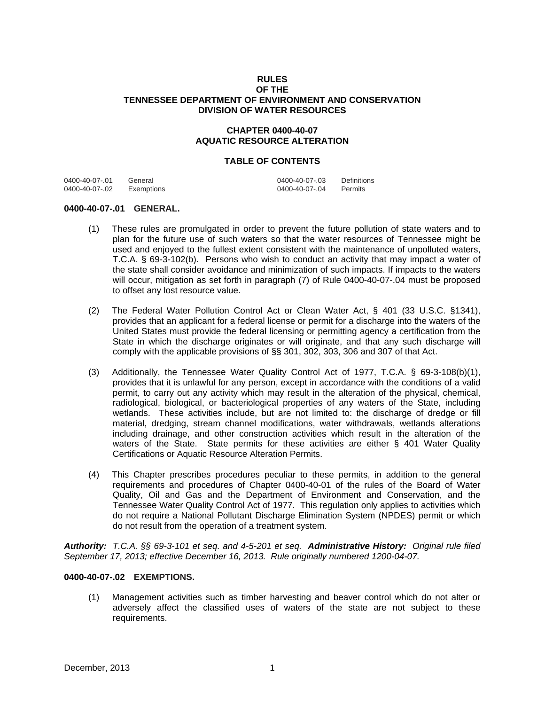## **RULES OF THE TENNESSEE DEPARTMENT OF ENVIRONMENT AND CONSERVATION DIVISION OF WATER RESOURCES**

# **CHAPTER 0400-40-07 AQUATIC RESOURCE ALTERATION**

## **TABLE OF CONTENTS**

| 0400-40-07-.01 | General    | 0400-40-07-.03 | Definitions |
|----------------|------------|----------------|-------------|
| 0400-40-07-.02 | Exemptions | 0400-40-07-.04 | Permits     |

#### **0400-40-07-.01 GENERAL.**

- (1) These rules are promulgated in order to prevent the future pollution of state waters and to plan for the future use of such waters so that the water resources of Tennessee might be used and enjoyed to the fullest extent consistent with the maintenance of unpolluted waters, T.C.A. § 69-3-102(b). Persons who wish to conduct an activity that may impact a water of the state shall consider avoidance and minimization of such impacts. If impacts to the waters will occur, mitigation as set forth in paragraph (7) of Rule 0400-40-07-.04 must be proposed to offset any lost resource value.
- (2) The Federal Water Pollution Control Act or Clean Water Act, § 401 (33 U.S.C. §1341), provides that an applicant for a federal license or permit for a discharge into the waters of the United States must provide the federal licensing or permitting agency a certification from the State in which the discharge originates or will originate, and that any such discharge will comply with the applicable provisions of §§ 301, 302, 303, 306 and 307 of that Act.
- (3) Additionally, the Tennessee Water Quality Control Act of 1977, T.C.A. § 69-3-108(b)(1), provides that it is unlawful for any person, except in accordance with the conditions of a valid permit, to carry out any activity which may result in the alteration of the physical, chemical, radiological, biological, or bacteriological properties of any waters of the State, including wetlands. These activities include, but are not limited to: the discharge of dredge or fill material, dredging, stream channel modifications, water withdrawals, wetlands alterations including drainage, and other construction activities which result in the alteration of the waters of the State. State permits for these activities are either § 401 Water Quality Certifications or Aquatic Resource Alteration Permits.
- (4) This Chapter prescribes procedures peculiar to these permits, in addition to the general requirements and procedures of Chapter 0400-40-01 of the rules of the Board of Water Quality, Oil and Gas and the Department of Environment and Conservation, and the Tennessee Water Quality Control Act of 1977. This regulation only applies to activities which do not require a National Pollutant Discharge Elimination System (NPDES) permit or which do not result from the operation of a treatment system.

*Authority: T.C.A. §§ 69-3-101 et seq. and 4-5-201 et seq. Administrative History: Original rule filed September 17, 2013; effective December 16, 2013. Rule originally numbered 1200-04-07.* 

#### **0400-40-07-.02 EXEMPTIONS.**

(1) Management activities such as timber harvesting and beaver control which do not alter or adversely affect the classified uses of waters of the state are not subject to these requirements.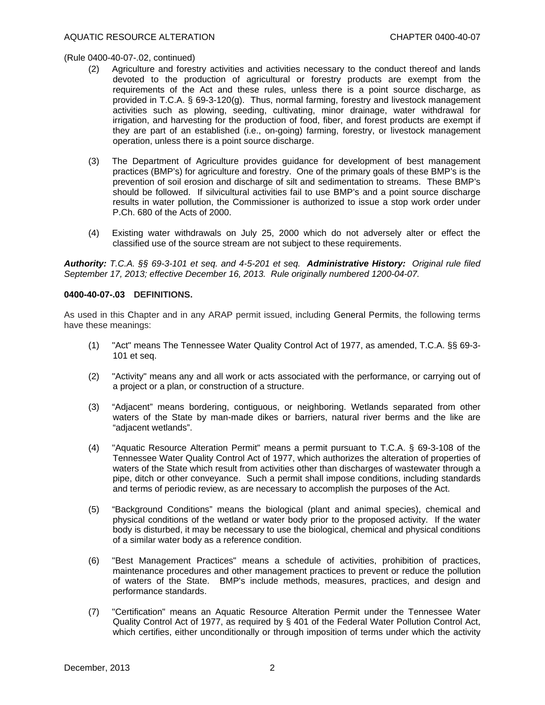- (2) Agriculture and forestry activities and activities necessary to the conduct thereof and lands devoted to the production of agricultural or forestry products are exempt from the requirements of the Act and these rules, unless there is a point source discharge, as provided in T.C.A. § 69-3-120(g). Thus, normal farming, forestry and livestock management activities such as plowing, seeding, cultivating, minor drainage, water withdrawal for irrigation, and harvesting for the production of food, fiber, and forest products are exempt if they are part of an established (i.e., on-going) farming, forestry, or livestock management operation, unless there is a point source discharge.
- (3) The Department of Agriculture provides guidance for development of best management practices (BMP's) for agriculture and forestry. One of the primary goals of these BMP's is the prevention of soil erosion and discharge of silt and sedimentation to streams. These BMP's should be followed. If silvicultural activities fail to use BMP's and a point source discharge results in water pollution, the Commissioner is authorized to issue a stop work order under P.Ch. 680 of the Acts of 2000.
- (4) Existing water withdrawals on July 25, 2000 which do not adversely alter or effect the classified use of the source stream are not subject to these requirements.

*Authority: T.C.A. §§ 69-3-101 et seq. and 4-5-201 et seq. Administrative History: Original rule filed September 17, 2013; effective December 16, 2013. Rule originally numbered 1200-04-07.* 

## **0400-40-07-.03 DEFINITIONS.**

As used in this Chapter and in any ARAP permit issued, including General Permits, the following terms have these meanings:

- (1) "Act" means The Tennessee Water Quality Control Act of 1977, as amended, T.C.A. §§ 69-3- 101 et seq.
- (2) "Activity" means any and all work or acts associated with the performance, or carrying out of a project or a plan, or construction of a structure.
- (3) "Adjacent" means bordering, contiguous, or neighboring. Wetlands separated from other waters of the State by man-made dikes or barriers, natural river berms and the like are "adjacent wetlands".
- (4) "Aquatic Resource Alteration Permit" means a permit pursuant to T.C.A. § 69-3-108 of the Tennessee Water Quality Control Act of 1977, which authorizes the alteration of properties of waters of the State which result from activities other than discharges of wastewater through a pipe, ditch or other conveyance. Such a permit shall impose conditions, including standards and terms of periodic review, as are necessary to accomplish the purposes of the Act.
- (5) "Background Conditions" means the biological (plant and animal species), chemical and physical conditions of the wetland or water body prior to the proposed activity. If the water body is disturbed, it may be necessary to use the biological, chemical and physical conditions of a similar water body as a reference condition.
- (6) "Best Management Practices" means a schedule of activities, prohibition of practices, maintenance procedures and other management practices to prevent or reduce the pollution of waters of the State. BMP's include methods, measures, practices, and design and performance standards.
- (7) "Certification" means an Aquatic Resource Alteration Permit under the Tennessee Water Quality Control Act of 1977, as required by § 401 of the Federal Water Pollution Control Act, which certifies, either unconditionally or through imposition of terms under which the activity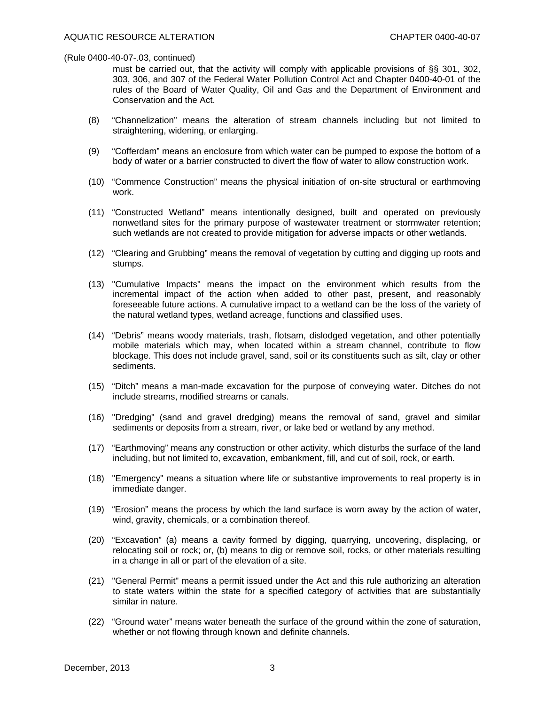must be carried out, that the activity will comply with applicable provisions of §§ 301, 302, 303, 306, and 307 of the Federal Water Pollution Control Act and Chapter 0400-40-01 of the rules of the Board of Water Quality, Oil and Gas and the Department of Environment and Conservation and the Act.

- (8) "Channelization" means the alteration of stream channels including but not limited to straightening, widening, or enlarging.
- (9) "Cofferdam" means an enclosure from which water can be pumped to expose the bottom of a body of water or a barrier constructed to divert the flow of water to allow construction work.
- (10) "Commence Construction" means the physical initiation of on-site structural or earthmoving work.
- (11) "Constructed Wetland" means intentionally designed, built and operated on previously nonwetland sites for the primary purpose of wastewater treatment or stormwater retention; such wetlands are not created to provide mitigation for adverse impacts or other wetlands.
- (12) "Clearing and Grubbing" means the removal of vegetation by cutting and digging up roots and stumps.
- (13) "Cumulative Impacts" means the impact on the environment which results from the incremental impact of the action when added to other past, present, and reasonably foreseeable future actions. A cumulative impact to a wetland can be the loss of the variety of the natural wetland types, wetland acreage, functions and classified uses.
- (14) "Debris" means woody materials, trash, flotsam, dislodged vegetation, and other potentially mobile materials which may, when located within a stream channel, contribute to flow blockage. This does not include gravel, sand, soil or its constituents such as silt, clay or other sediments.
- (15) "Ditch" means a man-made excavation for the purpose of conveying water. Ditches do not include streams, modified streams or canals.
- (16) "Dredging" (sand and gravel dredging) means the removal of sand, gravel and similar sediments or deposits from a stream, river, or lake bed or wetland by any method.
- (17) "Earthmoving" means any construction or other activity, which disturbs the surface of the land including, but not limited to, excavation, embankment, fill, and cut of soil, rock, or earth.
- (18) "Emergency" means a situation where life or substantive improvements to real property is in immediate danger.
- (19) "Erosion" means the process by which the land surface is worn away by the action of water, wind, gravity, chemicals, or a combination thereof.
- (20) "Excavation" (a) means a cavity formed by digging, quarrying, uncovering, displacing, or relocating soil or rock; or, (b) means to dig or remove soil, rocks, or other materials resulting in a change in all or part of the elevation of a site.
- (21) "General Permit" means a permit issued under the Act and this rule authorizing an alteration to state waters within the state for a specified category of activities that are substantially similar in nature.
- (22) "Ground water" means water beneath the surface of the ground within the zone of saturation, whether or not flowing through known and definite channels.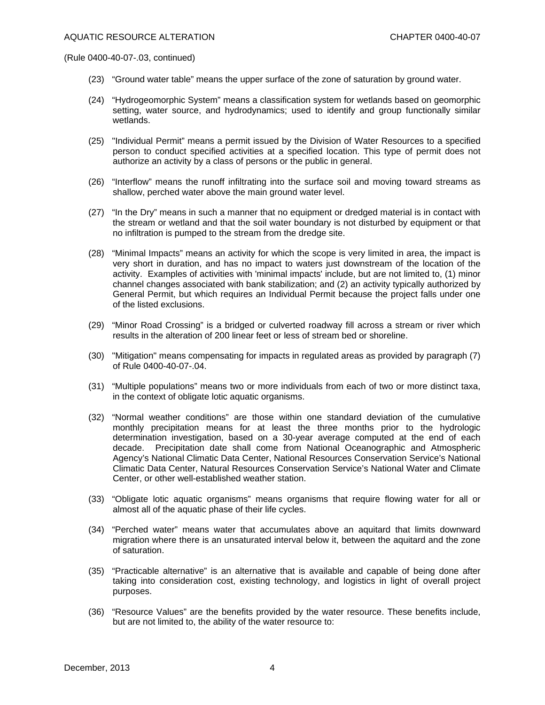- (23) "Ground water table" means the upper surface of the zone of saturation by ground water.
- (24) "Hydrogeomorphic System" means a classification system for wetlands based on geomorphic setting, water source, and hydrodynamics; used to identify and group functionally similar wetlands.
- (25) "Individual Permit" means a permit issued by the Division of Water Resources to a specified person to conduct specified activities at a specified location. This type of permit does not authorize an activity by a class of persons or the public in general.
- (26) "Interflow" means the runoff infiltrating into the surface soil and moving toward streams as shallow, perched water above the main ground water level.
- (27) "In the Dry" means in such a manner that no equipment or dredged material is in contact with the stream or wetland and that the soil water boundary is not disturbed by equipment or that no infiltration is pumped to the stream from the dredge site.
- (28) "Minimal Impacts" means an activity for which the scope is very limited in area, the impact is very short in duration, and has no impact to waters just downstream of the location of the activity. Examples of activities with 'minimal impacts' include, but are not limited to, (1) minor channel changes associated with bank stabilization; and (2) an activity typically authorized by General Permit, but which requires an Individual Permit because the project falls under one of the listed exclusions.
- (29) "Minor Road Crossing" is a bridged or culverted roadway fill across a stream or river which results in the alteration of 200 linear feet or less of stream bed or shoreline.
- (30) "Mitigation" means compensating for impacts in regulated areas as provided by paragraph (7) of Rule 0400-40-07-.04.
- (31) "Multiple populations" means two or more individuals from each of two or more distinct taxa, in the context of obligate lotic aquatic organisms.
- (32) "Normal weather conditions" are those within one standard deviation of the cumulative monthly precipitation means for at least the three months prior to the hydrologic determination investigation, based on a 30-year average computed at the end of each decade. Precipitation date shall come from National Oceanographic and Atmospheric Agency's National Climatic Data Center, National Resources Conservation Service's National Climatic Data Center, Natural Resources Conservation Service's National Water and Climate Center, or other well-established weather station.
- (33) "Obligate lotic aquatic organisms" means organisms that require flowing water for all or almost all of the aquatic phase of their life cycles.
- (34) "Perched water" means water that accumulates above an aquitard that limits downward migration where there is an unsaturated interval below it, between the aquitard and the zone of saturation.
- (35) "Practicable alternative" is an alternative that is available and capable of being done after taking into consideration cost, existing technology, and logistics in light of overall project purposes.
- (36) "Resource Values" are the benefits provided by the water resource. These benefits include, but are not limited to, the ability of the water resource to: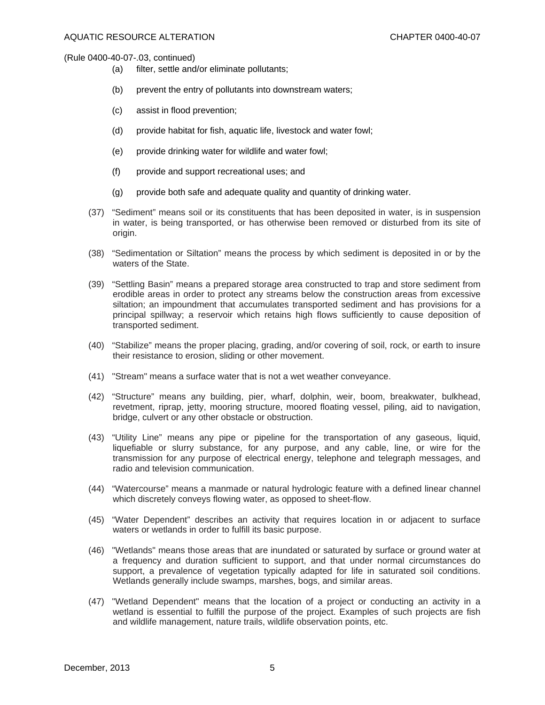- (a) filter, settle and/or eliminate pollutants;
- (b) prevent the entry of pollutants into downstream waters;
- (c) assist in flood prevention;
- (d) provide habitat for fish, aquatic life, livestock and water fowl;
- (e) provide drinking water for wildlife and water fowl;
- (f) provide and support recreational uses; and
- (g) provide both safe and adequate quality and quantity of drinking water.
- (37) "Sediment" means soil or its constituents that has been deposited in water, is in suspension in water, is being transported, or has otherwise been removed or disturbed from its site of origin.
- (38) "Sedimentation or Siltation" means the process by which sediment is deposited in or by the waters of the State.
- (39) "Settling Basin" means a prepared storage area constructed to trap and store sediment from erodible areas in order to protect any streams below the construction areas from excessive siltation; an impoundment that accumulates transported sediment and has provisions for a principal spillway; a reservoir which retains high flows sufficiently to cause deposition of transported sediment.
- (40) "Stabilize" means the proper placing, grading, and/or covering of soil, rock, or earth to insure their resistance to erosion, sliding or other movement.
- (41) "Stream" means a surface water that is not a wet weather conveyance.
- (42) "Structure" means any building, pier, wharf, dolphin, weir, boom, breakwater, bulkhead, revetment, riprap, jetty, mooring structure, moored floating vessel, piling, aid to navigation, bridge, culvert or any other obstacle or obstruction.
- (43) "Utility Line" means any pipe or pipeline for the transportation of any gaseous, liquid, liquefiable or slurry substance, for any purpose, and any cable, line, or wire for the transmission for any purpose of electrical energy, telephone and telegraph messages, and radio and television communication.
- (44) "Watercourse" means a manmade or natural hydrologic feature with a defined linear channel which discretely conveys flowing water, as opposed to sheet-flow.
- (45) "Water Dependent" describes an activity that requires location in or adjacent to surface waters or wetlands in order to fulfill its basic purpose.
- (46) "Wetlands" means those areas that are inundated or saturated by surface or ground water at a frequency and duration sufficient to support, and that under normal circumstances do support, a prevalence of vegetation typically adapted for life in saturated soil conditions. Wetlands generally include swamps, marshes, bogs, and similar areas.
- (47) "Wetland Dependent" means that the location of a project or conducting an activity in a wetland is essential to fulfill the purpose of the project. Examples of such projects are fish and wildlife management, nature trails, wildlife observation points, etc.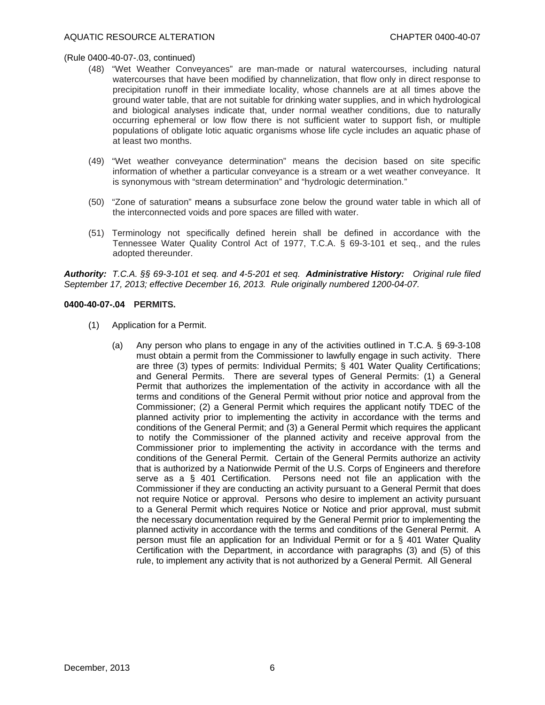- (48) "Wet Weather Conveyances" are man-made or natural watercourses, including natural watercourses that have been modified by channelization, that flow only in direct response to precipitation runoff in their immediate locality, whose channels are at all times above the ground water table, that are not suitable for drinking water supplies, and in which hydrological and biological analyses indicate that, under normal weather conditions, due to naturally occurring ephemeral or low flow there is not sufficient water to support fish, or multiple populations of obligate lotic aquatic organisms whose life cycle includes an aquatic phase of at least two months.
- (49) "Wet weather conveyance determination" means the decision based on site specific information of whether a particular conveyance is a stream or a wet weather conveyance. It is synonymous with "stream determination" and "hydrologic determination."
- (50) "Zone of saturation" means a subsurface zone below the ground water table in which all of the interconnected voids and pore spaces are filled with water.
- (51) Terminology not specifically defined herein shall be defined in accordance with the Tennessee Water Quality Control Act of 1977, T.C.A. § 69-3-101 et seq., and the rules adopted thereunder.

*Authority: T.C.A. §§ 69-3-101 et seq. and 4-5-201 et seq. Administrative History: Original rule filed September 17, 2013; effective December 16, 2013. Rule originally numbered 1200-04-07.* 

## **0400-40-07-.04 PERMITS.**

- (1) Application for a Permit.
	- (a) Any person who plans to engage in any of the activities outlined in T.C.A. § 69-3-108 must obtain a permit from the Commissioner to lawfully engage in such activity. There are three (3) types of permits: Individual Permits; § 401 Water Quality Certifications; and General Permits. There are several types of General Permits: (1) a General Permit that authorizes the implementation of the activity in accordance with all the terms and conditions of the General Permit without prior notice and approval from the Commissioner; (2) a General Permit which requires the applicant notify TDEC of the planned activity prior to implementing the activity in accordance with the terms and conditions of the General Permit; and (3) a General Permit which requires the applicant to notify the Commissioner of the planned activity and receive approval from the Commissioner prior to implementing the activity in accordance with the terms and conditions of the General Permit. Certain of the General Permits authorize an activity that is authorized by a Nationwide Permit of the U.S. Corps of Engineers and therefore serve as a § 401 Certification. Persons need not file an application with the Commissioner if they are conducting an activity pursuant to a General Permit that does not require Notice or approval. Persons who desire to implement an activity pursuant to a General Permit which requires Notice or Notice and prior approval, must submit the necessary documentation required by the General Permit prior to implementing the planned activity in accordance with the terms and conditions of the General Permit. A person must file an application for an Individual Permit or for a § 401 Water Quality Certification with the Department, in accordance with paragraphs (3) and (5) of this rule, to implement any activity that is not authorized by a General Permit. All General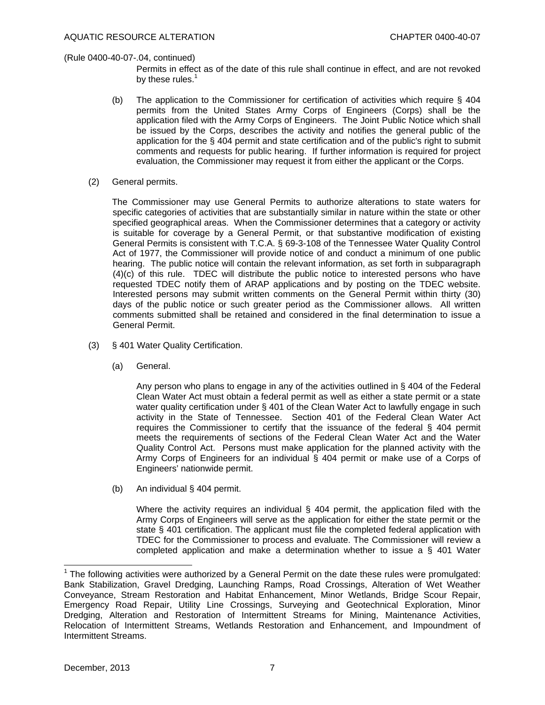Permits in effect as of the date of this rule shall continue in effect, and are not revoked by these rules.<sup>1</sup>

- (b) The application to the Commissioner for certification of activities which require § 404 permits from the United States Army Corps of Engineers (Corps) shall be the application filed with the Army Corps of Engineers. The Joint Public Notice which shall be issued by the Corps, describes the activity and notifies the general public of the application for the § 404 permit and state certification and of the public's right to submit comments and requests for public hearing. If further information is required for project evaluation, the Commissioner may request it from either the applicant or the Corps.
- (2) General permits.

 The Commissioner may use General Permits to authorize alterations to state waters for specific categories of activities that are substantially similar in nature within the state or other specified geographical areas. When the Commissioner determines that a category or activity is suitable for coverage by a General Permit, or that substantive modification of existing General Permits is consistent with T.C.A. § 69-3-108 of the Tennessee Water Quality Control Act of 1977, the Commissioner will provide notice of and conduct a minimum of one public hearing. The public notice will contain the relevant information, as set forth in subparagraph (4)(c) of this rule. TDEC will distribute the public notice to interested persons who have requested TDEC notify them of ARAP applications and by posting on the TDEC website. Interested persons may submit written comments on the General Permit within thirty (30) days of the public notice or such greater period as the Commissioner allows. All written comments submitted shall be retained and considered in the final determination to issue a General Permit.

- (3) § 401 Water Quality Certification.
	- (a) General.

 Any person who plans to engage in any of the activities outlined in § 404 of the Federal Clean Water Act must obtain a federal permit as well as either a state permit or a state water quality certification under § 401 of the Clean Water Act to lawfully engage in such activity in the State of Tennessee. Section 401 of the Federal Clean Water Act requires the Commissioner to certify that the issuance of the federal § 404 permit meets the requirements of sections of the Federal Clean Water Act and the Water Quality Control Act. Persons must make application for the planned activity with the Army Corps of Engineers for an individual § 404 permit or make use of a Corps of Engineers' nationwide permit.

(b) An individual § 404 permit.

 Where the activity requires an individual § 404 permit, the application filed with the Army Corps of Engineers will serve as the application for either the state permit or the state § 401 certification. The applicant must file the completed federal application with TDEC for the Commissioner to process and evaluate. The Commissioner will review a completed application and make a determination whether to issue a  $\S$  401 Water

l

 $1$  The following activities were authorized by a General Permit on the date these rules were promulgated: Bank Stabilization, Gravel Dredging, Launching Ramps, Road Crossings, Alteration of Wet Weather Conveyance, Stream Restoration and Habitat Enhancement, Minor Wetlands, Bridge Scour Repair, Emergency Road Repair, Utility Line Crossings, Surveying and Geotechnical Exploration, Minor Dredging, Alteration and Restoration of Intermittent Streams for Mining, Maintenance Activities, Relocation of Intermittent Streams, Wetlands Restoration and Enhancement, and Impoundment of Intermittent Streams.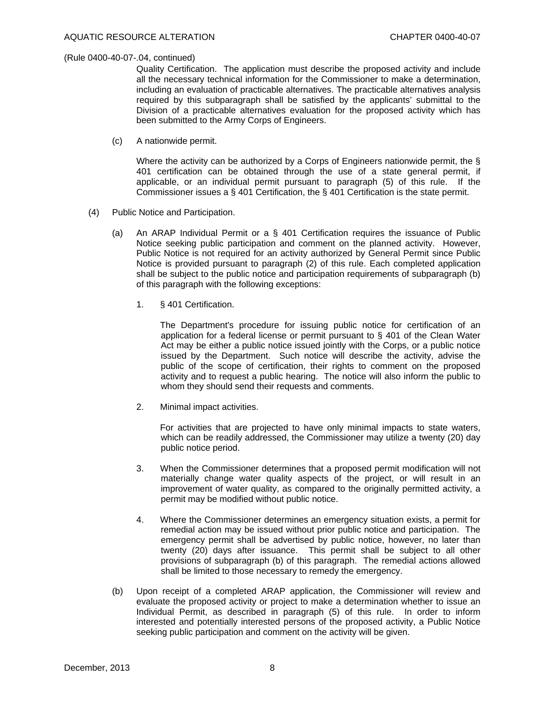Quality Certification. The application must describe the proposed activity and include all the necessary technical information for the Commissioner to make a determination, including an evaluation of practicable alternatives. The practicable alternatives analysis required by this subparagraph shall be satisfied by the applicants' submittal to the Division of a practicable alternatives evaluation for the proposed activity which has been submitted to the Army Corps of Engineers.

(c) A nationwide permit.

 Where the activity can be authorized by a Corps of Engineers nationwide permit, the § 401 certification can be obtained through the use of a state general permit, if applicable, or an individual permit pursuant to paragraph (5) of this rule. If the Commissioner issues a § 401 Certification, the § 401 Certification is the state permit.

- (4) Public Notice and Participation.
	- (a) An ARAP Individual Permit or a § 401 Certification requires the issuance of Public Notice seeking public participation and comment on the planned activity. However, Public Notice is not required for an activity authorized by General Permit since Public Notice is provided pursuant to paragraph (2) of this rule. Each completed application shall be subject to the public notice and participation requirements of subparagraph (b) of this paragraph with the following exceptions:
		- 1. § 401 Certification.

 The Department's procedure for issuing public notice for certification of an application for a federal license or permit pursuant to § 401 of the Clean Water Act may be either a public notice issued jointly with the Corps, or a public notice issued by the Department. Such notice will describe the activity, advise the public of the scope of certification, their rights to comment on the proposed activity and to request a public hearing. The notice will also inform the public to whom they should send their requests and comments.

2. Minimal impact activities.

 For activities that are projected to have only minimal impacts to state waters, which can be readily addressed, the Commissioner may utilize a twenty (20) day public notice period.

- 3. When the Commissioner determines that a proposed permit modification will not materially change water quality aspects of the project, or will result in an improvement of water quality, as compared to the originally permitted activity, a permit may be modified without public notice.
- 4. Where the Commissioner determines an emergency situation exists, a permit for remedial action may be issued without prior public notice and participation. The emergency permit shall be advertised by public notice, however, no later than twenty (20) days after issuance. This permit shall be subject to all other provisions of subparagraph (b) of this paragraph. The remedial actions allowed shall be limited to those necessary to remedy the emergency.
- (b) Upon receipt of a completed ARAP application, the Commissioner will review and evaluate the proposed activity or project to make a determination whether to issue an Individual Permit, as described in paragraph (5) of this rule. In order to inform interested and potentially interested persons of the proposed activity, a Public Notice seeking public participation and comment on the activity will be given.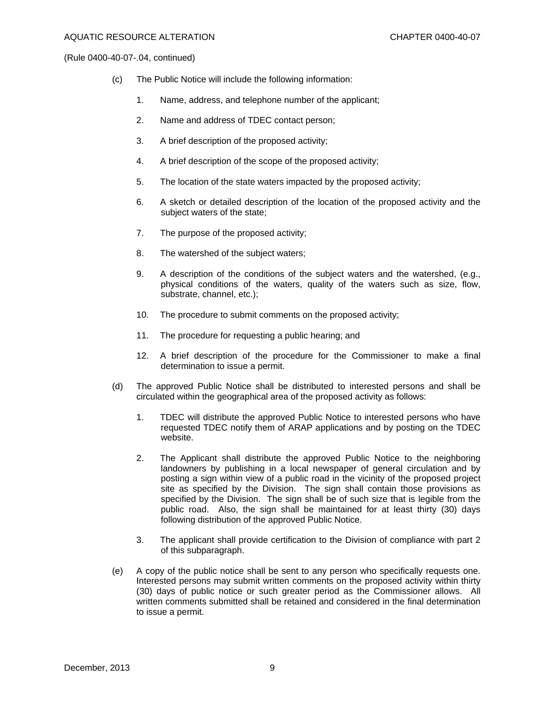- (c) The Public Notice will include the following information:
	- 1. Name, address, and telephone number of the applicant;
	- 2. Name and address of TDEC contact person;
	- 3. A brief description of the proposed activity;
	- 4. A brief description of the scope of the proposed activity;
	- 5. The location of the state waters impacted by the proposed activity;
	- 6. A sketch or detailed description of the location of the proposed activity and the subject waters of the state;
	- 7. The purpose of the proposed activity;
	- 8. The watershed of the subject waters;
	- 9. A description of the conditions of the subject waters and the watershed, (e.g., physical conditions of the waters, quality of the waters such as size, flow, substrate, channel, etc.);
	- 10. The procedure to submit comments on the proposed activity;
	- 11. The procedure for requesting a public hearing; and
	- 12. A brief description of the procedure for the Commissioner to make a final determination to issue a permit.
- (d) The approved Public Notice shall be distributed to interested persons and shall be circulated within the geographical area of the proposed activity as follows:
	- 1. TDEC will distribute the approved Public Notice to interested persons who have requested TDEC notify them of ARAP applications and by posting on the TDEC website.
	- 2. The Applicant shall distribute the approved Public Notice to the neighboring landowners by publishing in a local newspaper of general circulation and by posting a sign within view of a public road in the vicinity of the proposed project site as specified by the Division. The sign shall contain those provisions as specified by the Division. The sign shall be of such size that is legible from the public road. Also, the sign shall be maintained for at least thirty (30) days following distribution of the approved Public Notice.
	- 3. The applicant shall provide certification to the Division of compliance with part 2 of this subparagraph.
- (e) A copy of the public notice shall be sent to any person who specifically requests one. Interested persons may submit written comments on the proposed activity within thirty (30) days of public notice or such greater period as the Commissioner allows. All written comments submitted shall be retained and considered in the final determination to issue a permit.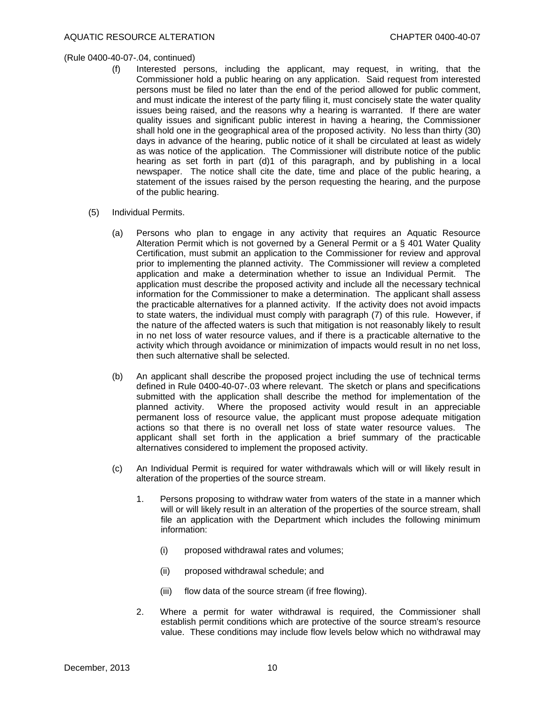- (f) Interested persons, including the applicant, may request, in writing, that the Commissioner hold a public hearing on any application. Said request from interested persons must be filed no later than the end of the period allowed for public comment, and must indicate the interest of the party filing it, must concisely state the water quality issues being raised, and the reasons why a hearing is warranted. If there are water quality issues and significant public interest in having a hearing, the Commissioner shall hold one in the geographical area of the proposed activity. No less than thirty (30) days in advance of the hearing, public notice of it shall be circulated at least as widely as was notice of the application. The Commissioner will distribute notice of the public hearing as set forth in part (d)1 of this paragraph, and by publishing in a local newspaper. The notice shall cite the date, time and place of the public hearing, a statement of the issues raised by the person requesting the hearing, and the purpose of the public hearing.
- (5) Individual Permits.
	- (a) Persons who plan to engage in any activity that requires an Aquatic Resource Alteration Permit which is not governed by a General Permit or a § 401 Water Quality Certification, must submit an application to the Commissioner for review and approval prior to implementing the planned activity. The Commissioner will review a completed application and make a determination whether to issue an Individual Permit. The application must describe the proposed activity and include all the necessary technical information for the Commissioner to make a determination. The applicant shall assess the practicable alternatives for a planned activity. If the activity does not avoid impacts to state waters, the individual must comply with paragraph (7) of this rule. However, if the nature of the affected waters is such that mitigation is not reasonably likely to result in no net loss of water resource values, and if there is a practicable alternative to the activity which through avoidance or minimization of impacts would result in no net loss, then such alternative shall be selected.
	- (b) An applicant shall describe the proposed project including the use of technical terms defined in Rule 0400-40-07-.03 where relevant. The sketch or plans and specifications submitted with the application shall describe the method for implementation of the planned activity. Where the proposed activity would result in an appreciable permanent loss of resource value, the applicant must propose adequate mitigation actions so that there is no overall net loss of state water resource values. The applicant shall set forth in the application a brief summary of the practicable alternatives considered to implement the proposed activity.
	- (c) An Individual Permit is required for water withdrawals which will or will likely result in alteration of the properties of the source stream.
		- 1. Persons proposing to withdraw water from waters of the state in a manner which will or will likely result in an alteration of the properties of the source stream, shall file an application with the Department which includes the following minimum information:
			- (i) proposed withdrawal rates and volumes;
			- (ii) proposed withdrawal schedule; and
			- (iii) flow data of the source stream (if free flowing).
		- 2. Where a permit for water withdrawal is required, the Commissioner shall establish permit conditions which are protective of the source stream's resource value. These conditions may include flow levels below which no withdrawal may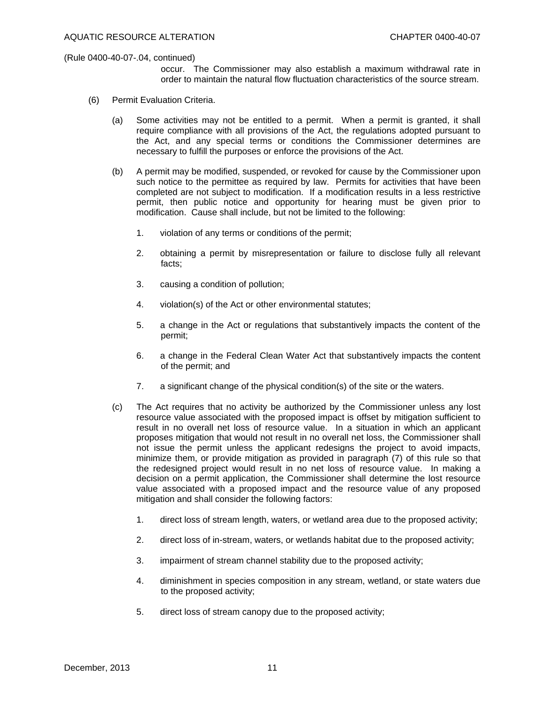occur. The Commissioner may also establish a maximum withdrawal rate in order to maintain the natural flow fluctuation characteristics of the source stream.

- (6) Permit Evaluation Criteria.
	- (a) Some activities may not be entitled to a permit. When a permit is granted, it shall require compliance with all provisions of the Act, the regulations adopted pursuant to the Act, and any special terms or conditions the Commissioner determines are necessary to fulfill the purposes or enforce the provisions of the Act.
	- (b) A permit may be modified, suspended, or revoked for cause by the Commissioner upon such notice to the permittee as required by law. Permits for activities that have been completed are not subject to modification. If a modification results in a less restrictive permit, then public notice and opportunity for hearing must be given prior to modification. Cause shall include, but not be limited to the following:
		- 1. violation of any terms or conditions of the permit;
		- 2. obtaining a permit by misrepresentation or failure to disclose fully all relevant facts;
		- 3. causing a condition of pollution;
		- 4. violation(s) of the Act or other environmental statutes;
		- 5. a change in the Act or regulations that substantively impacts the content of the permit;
		- 6. a change in the Federal Clean Water Act that substantively impacts the content of the permit; and
		- 7. a significant change of the physical condition(s) of the site or the waters.
	- (c) The Act requires that no activity be authorized by the Commissioner unless any lost resource value associated with the proposed impact is offset by mitigation sufficient to result in no overall net loss of resource value. In a situation in which an applicant proposes mitigation that would not result in no overall net loss, the Commissioner shall not issue the permit unless the applicant redesigns the project to avoid impacts, minimize them, or provide mitigation as provided in paragraph (7) of this rule so that the redesigned project would result in no net loss of resource value. In making a decision on a permit application, the Commissioner shall determine the lost resource value associated with a proposed impact and the resource value of any proposed mitigation and shall consider the following factors:
		- 1. direct loss of stream length, waters, or wetland area due to the proposed activity;
		- 2. direct loss of in-stream, waters, or wetlands habitat due to the proposed activity;
		- 3. impairment of stream channel stability due to the proposed activity;
		- 4. diminishment in species composition in any stream, wetland, or state waters due to the proposed activity;
		- 5. direct loss of stream canopy due to the proposed activity;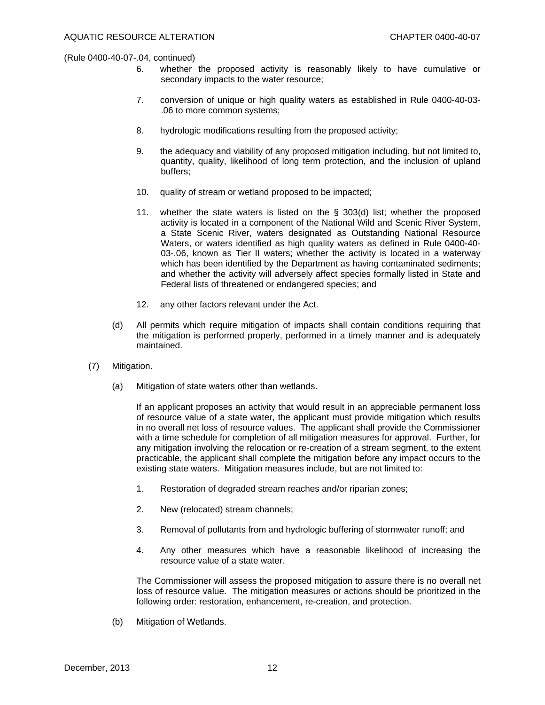- 6. whether the proposed activity is reasonably likely to have cumulative or secondary impacts to the water resource;
- 7. conversion of unique or high quality waters as established in Rule 0400-40-03- .06 to more common systems;
- 8. hydrologic modifications resulting from the proposed activity;
- 9. the adequacy and viability of any proposed mitigation including, but not limited to, quantity, quality, likelihood of long term protection, and the inclusion of upland buffers;
- 10. quality of stream or wetland proposed to be impacted;
- 11. whether the state waters is listed on the  $\S$  303(d) list; whether the proposed activity is located in a component of the National Wild and Scenic River System, a State Scenic River, waters designated as Outstanding National Resource Waters, or waters identified as high quality waters as defined in Rule 0400-40- 03-.06, known as Tier II waters; whether the activity is located in a waterway which has been identified by the Department as having contaminated sediments; and whether the activity will adversely affect species formally listed in State and Federal lists of threatened or endangered species; and
- 12. any other factors relevant under the Act.
- (d) All permits which require mitigation of impacts shall contain conditions requiring that the mitigation is performed properly, performed in a timely manner and is adequately maintained.
- (7) Mitigation.
	- (a) Mitigation of state waters other than wetlands.

 If an applicant proposes an activity that would result in an appreciable permanent loss of resource value of a state water, the applicant must provide mitigation which results in no overall net loss of resource values. The applicant shall provide the Commissioner with a time schedule for completion of all mitigation measures for approval. Further, for any mitigation involving the relocation or re-creation of a stream segment, to the extent practicable, the applicant shall complete the mitigation before any impact occurs to the existing state waters. Mitigation measures include, but are not limited to:

- 1. Restoration of degraded stream reaches and/or riparian zones;
- 2. New (relocated) stream channels;
- 3. Removal of pollutants from and hydrologic buffering of stormwater runoff; and
- 4. Any other measures which have a reasonable likelihood of increasing the resource value of a state water.

 The Commissioner will assess the proposed mitigation to assure there is no overall net loss of resource value. The mitigation measures or actions should be prioritized in the following order: restoration, enhancement, re-creation, and protection.

(b) Mitigation of Wetlands.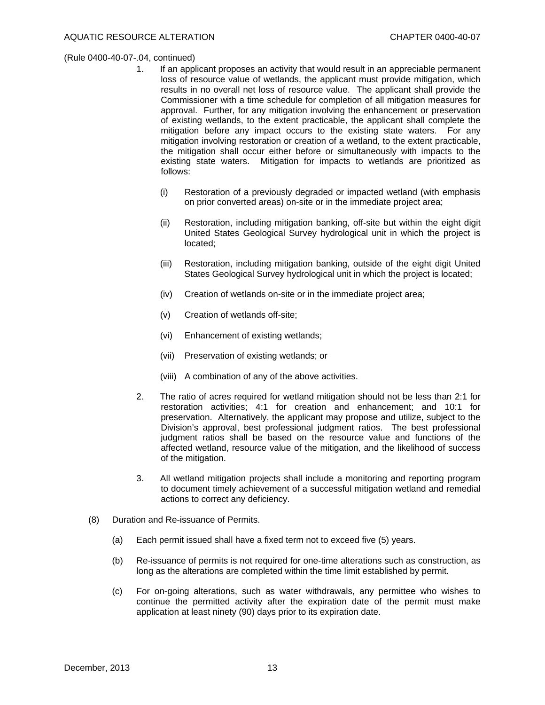- 1. If an applicant proposes an activity that would result in an appreciable permanent loss of resource value of wetlands, the applicant must provide mitigation, which results in no overall net loss of resource value. The applicant shall provide the Commissioner with a time schedule for completion of all mitigation measures for approval. Further, for any mitigation involving the enhancement or preservation of existing wetlands, to the extent practicable, the applicant shall complete the mitigation before any impact occurs to the existing state waters. For any mitigation involving restoration or creation of a wetland, to the extent practicable, the mitigation shall occur either before or simultaneously with impacts to the existing state waters. Mitigation for impacts to wetlands are prioritized as follows:
	- (i) Restoration of a previously degraded or impacted wetland (with emphasis on prior converted areas) on-site or in the immediate project area;
	- (ii) Restoration, including mitigation banking, off-site but within the eight digit United States Geological Survey hydrological unit in which the project is located;
	- (iii) Restoration, including mitigation banking, outside of the eight digit United States Geological Survey hydrological unit in which the project is located;
	- (iv) Creation of wetlands on-site or in the immediate project area;
	- (v) Creation of wetlands off-site;
	- (vi) Enhancement of existing wetlands;
	- (vii) Preservation of existing wetlands; or
	- (viii) A combination of any of the above activities.
- 2. The ratio of acres required for wetland mitigation should not be less than 2:1 for restoration activities; 4:1 for creation and enhancement; and 10:1 for preservation. Alternatively, the applicant may propose and utilize, subject to the Division's approval, best professional judgment ratios. The best professional judgment ratios shall be based on the resource value and functions of the affected wetland, resource value of the mitigation, and the likelihood of success of the mitigation.
- 3. All wetland mitigation projects shall include a monitoring and reporting program to document timely achievement of a successful mitigation wetland and remedial actions to correct any deficiency.
- (8) Duration and Re-issuance of Permits.
	- (a) Each permit issued shall have a fixed term not to exceed five (5) years.
	- (b) Re-issuance of permits is not required for one-time alterations such as construction, as long as the alterations are completed within the time limit established by permit.
	- (c) For on-going alterations, such as water withdrawals, any permittee who wishes to continue the permitted activity after the expiration date of the permit must make application at least ninety (90) days prior to its expiration date.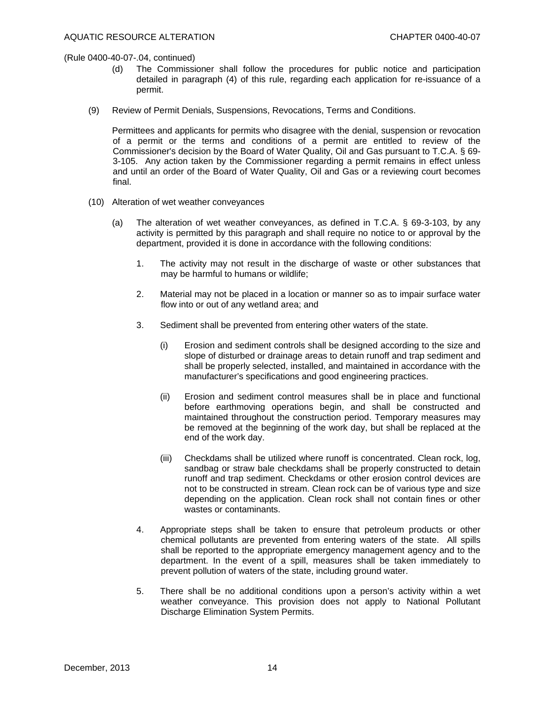- (d) The Commissioner shall follow the procedures for public notice and participation detailed in paragraph (4) of this rule, regarding each application for re-issuance of a permit.
- (9) Review of Permit Denials, Suspensions, Revocations, Terms and Conditions.

 Permittees and applicants for permits who disagree with the denial, suspension or revocation of a permit or the terms and conditions of a permit are entitled to review of the Commissioner's decision by the Board of Water Quality, Oil and Gas pursuant to T.C.A. § 69- 3-105. Any action taken by the Commissioner regarding a permit remains in effect unless and until an order of the Board of Water Quality, Oil and Gas or a reviewing court becomes final.

- (10) Alteration of wet weather conveyances
	- (a) The alteration of wet weather conveyances, as defined in T.C.A. § 69-3-103, by any activity is permitted by this paragraph and shall require no notice to or approval by the department, provided it is done in accordance with the following conditions:
		- 1. The activity may not result in the discharge of waste or other substances that may be harmful to humans or wildlife;
		- 2. Material may not be placed in a location or manner so as to impair surface water flow into or out of any wetland area; and
		- 3. Sediment shall be prevented from entering other waters of the state.
			- (i) Erosion and sediment controls shall be designed according to the size and slope of disturbed or drainage areas to detain runoff and trap sediment and shall be properly selected, installed, and maintained in accordance with the manufacturer's specifications and good engineering practices.
			- (ii) Erosion and sediment control measures shall be in place and functional before earthmoving operations begin, and shall be constructed and maintained throughout the construction period. Temporary measures may be removed at the beginning of the work day, but shall be replaced at the end of the work day.
			- (iii) Checkdams shall be utilized where runoff is concentrated. Clean rock, log, sandbag or straw bale checkdams shall be properly constructed to detain runoff and trap sediment. Checkdams or other erosion control devices are not to be constructed in stream. Clean rock can be of various type and size depending on the application. Clean rock shall not contain fines or other wastes or contaminants.
		- 4. Appropriate steps shall be taken to ensure that petroleum products or other chemical pollutants are prevented from entering waters of the state. All spills shall be reported to the appropriate emergency management agency and to the department. In the event of a spill, measures shall be taken immediately to prevent pollution of waters of the state, including ground water.
		- 5. There shall be no additional conditions upon a person's activity within a wet weather conveyance. This provision does not apply to National Pollutant Discharge Elimination System Permits.